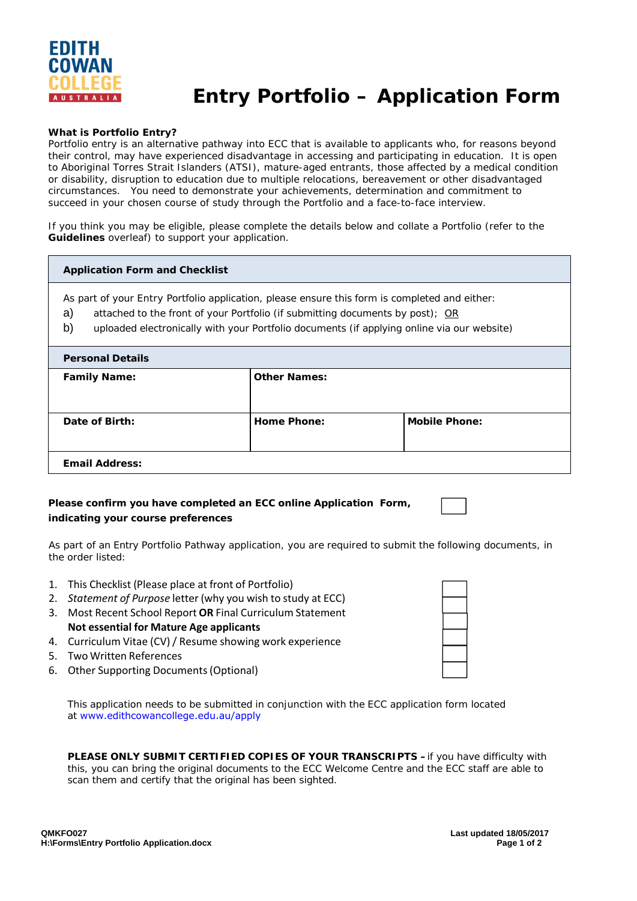

# **Entry Portfolio – Application Form**

## **What is Portfolio Entry?**

Portfolio entry is an alternative pathway into ECC that is available to applicants who, for reasons beyond their control, may have experienced disadvantage in accessing and participating in education. It is open to Aboriginal Torres Strait Islanders (ATSI), mature-aged entrants, those affected by a medical condition or disability, disruption to education due to multiple relocations, bereavement or other disadvantaged circumstances. You need to demonstrate your achievements, determination and commitment to succeed in your chosen course of study through the Portfolio and a face-to-face interview.

If you think you may be eligible, please complete the details below and collate a Portfolio (refer to the **Guidelines** overleaf) to support your application.

#### **Application Form and Checklist**

- As part of your Entry Portfolio application, please ensure this form is completed and either:
- a) attached to the front of your Portfolio (if submitting documents by post); OR
- b) uploaded electronically with your Portfolio documents (if applying online via our website)

| <b>Personal Details</b> |                     |                      |
|-------------------------|---------------------|----------------------|
| <b>Family Name:</b>     | <b>Other Names:</b> |                      |
| Date of Birth:          | Home Phone:         | <b>Mobile Phone:</b> |
| <b>Email Address:</b>   |                     |                      |

# **Please confirm you have completed an ECC online Application Form, indicating your course preferences**

As part of an *Entry Portfolio Pathway* application, you are required to submit the following documents, in the order listed:

- 1. This Checklist (Please place at front of Portfolio)
- 2. *Statement of Purpose* letter (why you wish to study at ECC)
- 3. Most Recent School Report **OR** Final Curriculum Statement **Not essential for Mature Age applicants**
- 4. Curriculum Vitae (CV)/ Resume showing work experience
- 5. Two Written References
- 6. Other Supporting Documents(Optional)

This application needs to be submitted in conjunction with the ECC application form located at www.edithcowancollege.edu.au/apply

**PLEASE ONLY SUBMIT CERTIFIED COPIES OF YOUR TRANSCRIPTS - if you have difficulty with** this, you can bring the original documents to the ECC Welcome Centre and the ECC staff are able to scan them and certify that the original has been sighted.